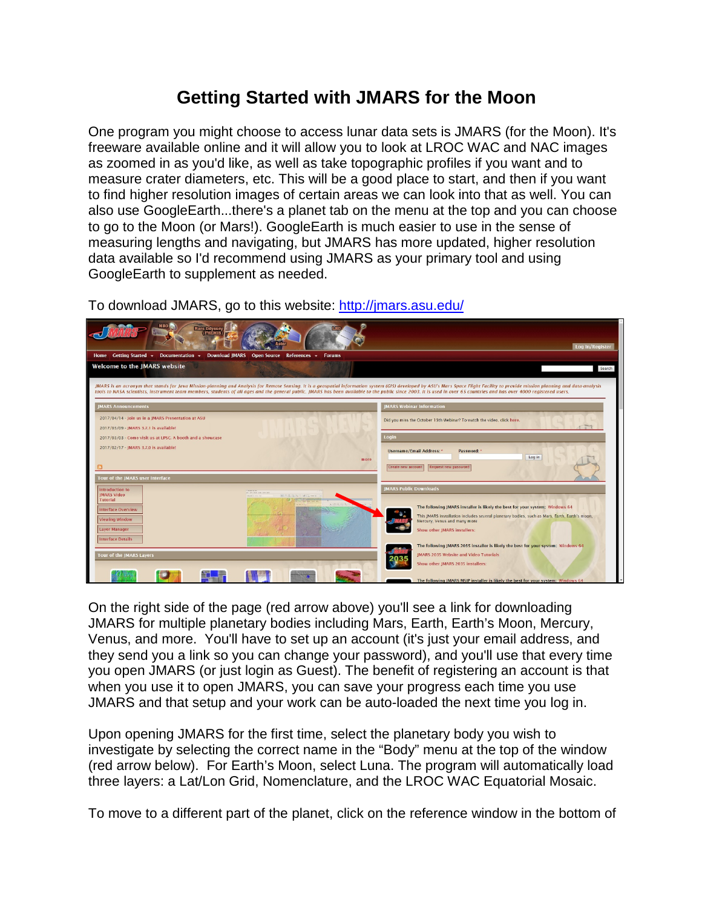## **Getting Started with JMARS for the Moon**

One program you might choose to access lunar data sets is JMARS (for the Moon). It's freeware available online and it will allow you to look at LROC WAC and NAC images as zoomed in as you'd like, as well as take topographic profiles if you want and to measure crater diameters, etc. This will be a good place to start, and then if you want to find higher resolution images of certain areas we can look into that as well. You can also use GoogleEarth...there's a planet tab on the menu at the top and you can choose to go to the Moon (or Mars!). GoogleEarth is much easier to use in the sense of measuring lengths and navigating, but JMARS has more updated, higher resolution data available so I'd recommend using JMARS as your primary tool and using GoogleEarth to supplement as needed.

To download JMARS, go to this website: <http://jmars.asu.edu/>



On the right side of the page (red arrow above) you'll see a link for downloading JMARS for multiple planetary bodies including Mars, Earth, Earth's Moon, Mercury, Venus, and more. You'll have to set up an account (it's just your email address, and they send you a link so you can change your password), and you'll use that every time you open JMARS (or just login as Guest). The benefit of registering an account is that when you use it to open JMARS, you can save your progress each time you use JMARS and that setup and your work can be auto-loaded the next time you log in.

Upon opening JMARS for the first time, select the planetary body you wish to investigate by selecting the correct name in the "Body" menu at the top of the window (red arrow below). For Earth's Moon, select Luna. The program will automatically load three layers: a Lat/Lon Grid, Nomenclature, and the LROC WAC Equatorial Mosaic.

To move to a different part of the planet, click on the reference window in the bottom of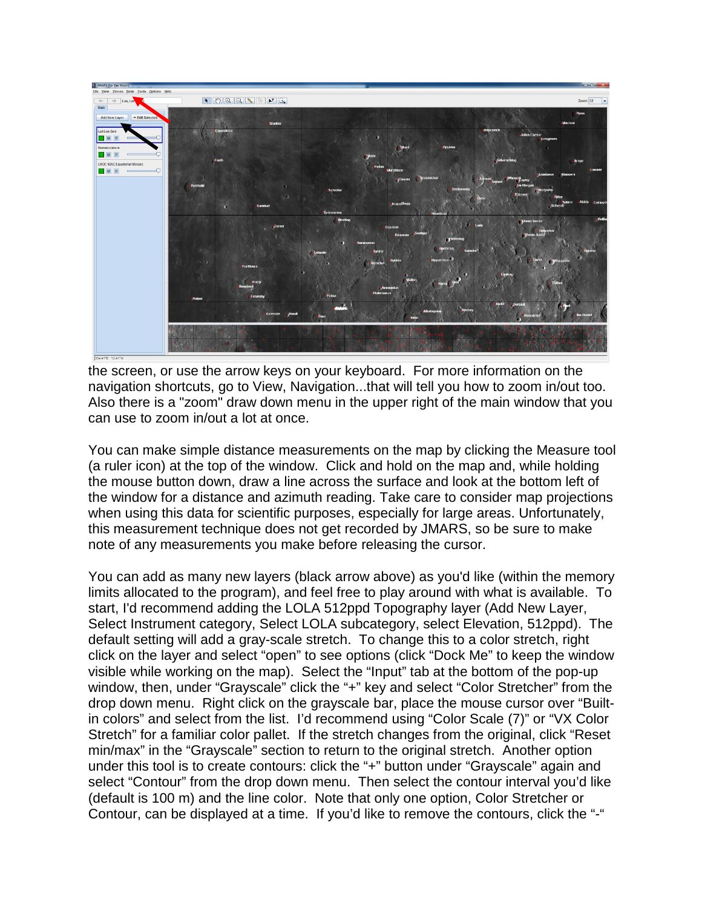

the screen, or use the arrow keys on your keyboard. For more information on the navigation shortcuts, go to View, Navigation...that will tell you how to zoom in/out too. Also there is a "zoom" draw down menu in the upper right of the main window that you can use to zoom in/out a lot at once.

You can make simple distance measurements on the map by clicking the Measure tool (a ruler icon) at the top of the window. Click and hold on the map and, while holding the mouse button down, draw a line across the surface and look at the bottom left of the window for a distance and azimuth reading. Take care to consider map projections when using this data for scientific purposes, especially for large areas. Unfortunately, this measurement technique does not get recorded by JMARS, so be sure to make note of any measurements you make before releasing the cursor.

You can add as many new layers (black arrow above) as you'd like (within the memory limits allocated to the program), and feel free to play around with what is available. To start, I'd recommend adding the LOLA 512ppd Topography layer (Add New Layer, Select Instrument category, Select LOLA subcategory, select Elevation, 512ppd). The default setting will add a gray-scale stretch. To change this to a color stretch, right click on the layer and select "open" to see options (click "Dock Me" to keep the window visible while working on the map). Select the "Input" tab at the bottom of the pop-up window, then, under "Grayscale" click the "+" key and select "Color Stretcher" from the drop down menu. Right click on the grayscale bar, place the mouse cursor over "Builtin colors" and select from the list. I'd recommend using "Color Scale (7)" or "VX Color Stretch" for a familiar color pallet. If the stretch changes from the original, click "Reset min/max" in the "Grayscale" section to return to the original stretch. Another option under this tool is to create contours: click the "+" button under "Grayscale" again and select "Contour" from the drop down menu. Then select the contour interval you'd like (default is 100 m) and the line color. Note that only one option, Color Stretcher or Contour, can be displayed at a time. If you'd like to remove the contours, click the "-"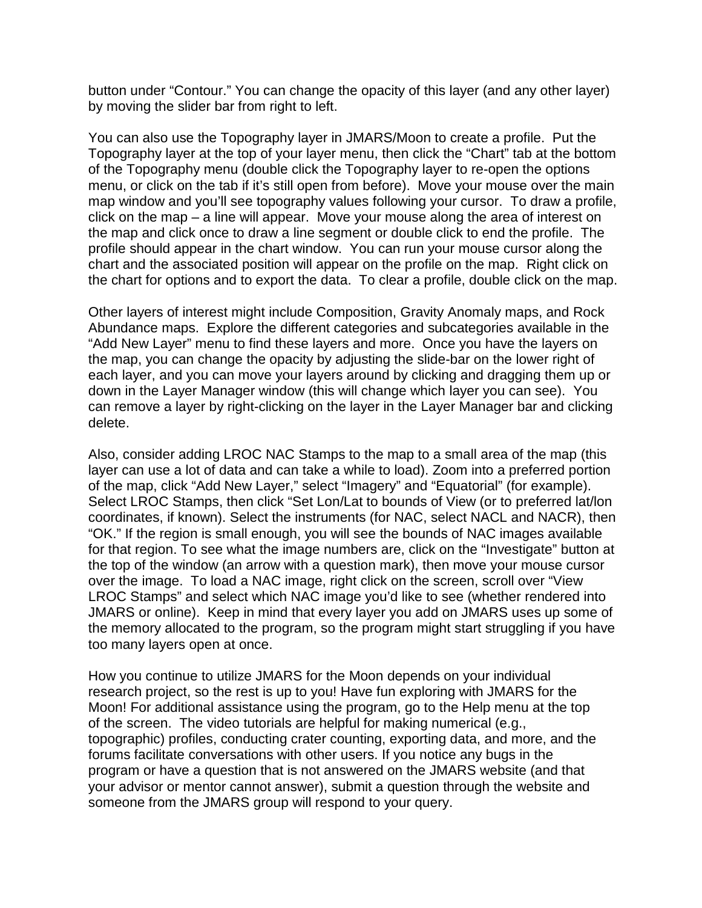button under "Contour." You can change the opacity of this layer (and any other layer) by moving the slider bar from right to left.

You can also use the Topography layer in JMARS/Moon to create a profile. Put the Topography layer at the top of your layer menu, then click the "Chart" tab at the bottom of the Topography menu (double click the Topography layer to re-open the options menu, or click on the tab if it's still open from before). Move your mouse over the main map window and you'll see topography values following your cursor. To draw a profile, click on the map – a line will appear. Move your mouse along the area of interest on the map and click once to draw a line segment or double click to end the profile. The profile should appear in the chart window. You can run your mouse cursor along the chart and the associated position will appear on the profile on the map. Right click on the chart for options and to export the data. To clear a profile, double click on the map.

Other layers of interest might include Composition, Gravity Anomaly maps, and Rock Abundance maps. Explore the different categories and subcategories available in the "Add New Layer" menu to find these layers and more. Once you have the layers on the map, you can change the opacity by adjusting the slide-bar on the lower right of each layer, and you can move your layers around by clicking and dragging them up or down in the Layer Manager window (this will change which layer you can see). You can remove a layer by right-clicking on the layer in the Layer Manager bar and clicking delete.

Also, consider adding LROC NAC Stamps to the map to a small area of the map (this layer can use a lot of data and can take a while to load). Zoom into a preferred portion of the map, click "Add New Layer," select "Imagery" and "Equatorial" (for example). Select LROC Stamps, then click "Set Lon/Lat to bounds of View (or to preferred lat/lon coordinates, if known). Select the instruments (for NAC, select NACL and NACR), then "OK." If the region is small enough, you will see the bounds of NAC images available for that region. To see what the image numbers are, click on the "Investigate" button at the top of the window (an arrow with a question mark), then move your mouse cursor over the image. To load a NAC image, right click on the screen, scroll over "View LROC Stamps" and select which NAC image you'd like to see (whether rendered into JMARS or online). Keep in mind that every layer you add on JMARS uses up some of the memory allocated to the program, so the program might start struggling if you have too many layers open at once.

How you continue to utilize JMARS for the Moon depends on your individual research project, so the rest is up to you! Have fun exploring with JMARS for the Moon! For additional assistance using the program, go to the Help menu at the top of the screen. The video tutorials are helpful for making numerical (e.g., topographic) profiles, conducting crater counting, exporting data, and more, and the forums facilitate conversations with other users. If you notice any bugs in the program or have a question that is not answered on the JMARS website (and that your advisor or mentor cannot answer), submit a question through the website and someone from the JMARS group will respond to your query.